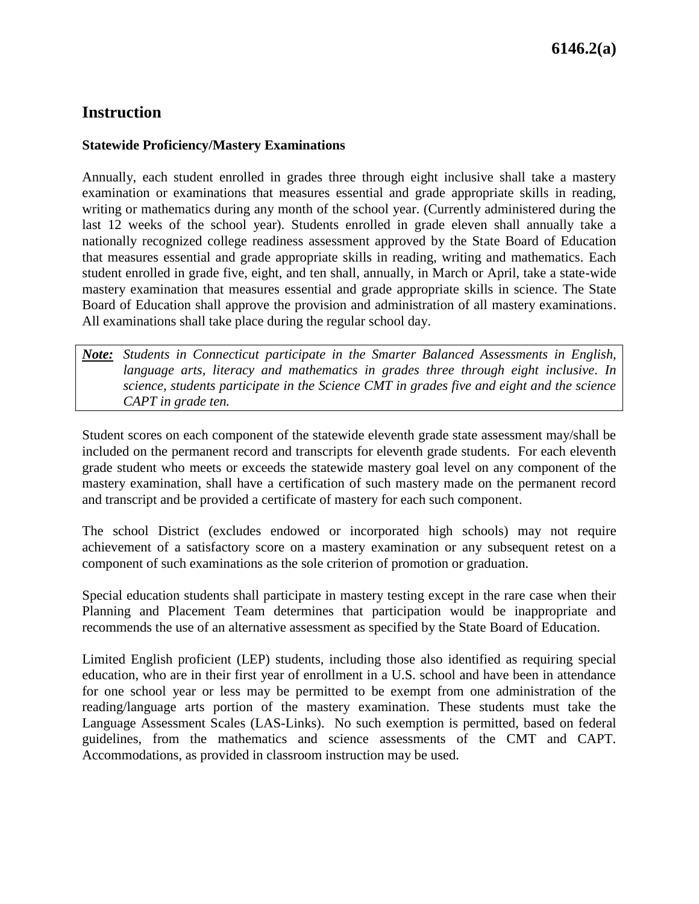## **Instruction**

## **Statewide Proficiency/Mastery Examinations**

Annually, each student enrolled in grades three through eight inclusive shall take a mastery examination or examinations that measures essential and grade appropriate skills in reading, writing or mathematics during any month of the school year. (Currently administered during the last 12 weeks of the school year). Students enrolled in grade eleven shall annually take a nationally recognized college readiness assessment approved by the State Board of Education that measures essential and grade appropriate skills in reading, writing and mathematics. Each student enrolled in grade five, eight, and ten shall, annually, in March or April, take a state-wide mastery examination that measures essential and grade appropriate skills in science. The State Board of Education shall approve the provision and administration of all mastery examinations. All examinations shall take place during the regular school day.

*Note: Students in Connecticut participate in the Smarter Balanced Assessments in English, language arts, literacy and mathematics in grades three through eight inclusive. In science, students participate in the Science CMT in grades five and eight and the science CAPT in grade ten.*

Student scores on each component of the statewide eleventh grade state assessment may/shall be included on the permanent record and transcripts for eleventh grade students. For each eleventh grade student who meets or exceeds the statewide mastery goal level on any component of the mastery examination, shall have a certification of such mastery made on the permanent record and transcript and be provided a certificate of mastery for each such component.

The school District (excludes endowed or incorporated high schools) may not require achievement of a satisfactory score on a mastery examination or any subsequent retest on a component of such examinations as the sole criterion of promotion or graduation.

Special education students shall participate in mastery testing except in the rare case when their Planning and Placement Team determines that participation would be inappropriate and recommends the use of an alternative assessment as specified by the State Board of Education.

Limited English proficient (LEP) students, including those also identified as requiring special education, who are in their first year of enrollment in a U.S. school and have been in attendance for one school year or less may be permitted to be exempt from one administration of the reading/language arts portion of the mastery examination. These students must take the Language Assessment Scales (LAS-Links). No such exemption is permitted, based on federal guidelines, from the mathematics and science assessments of the CMT and CAPT. Accommodations, as provided in classroom instruction may be used.